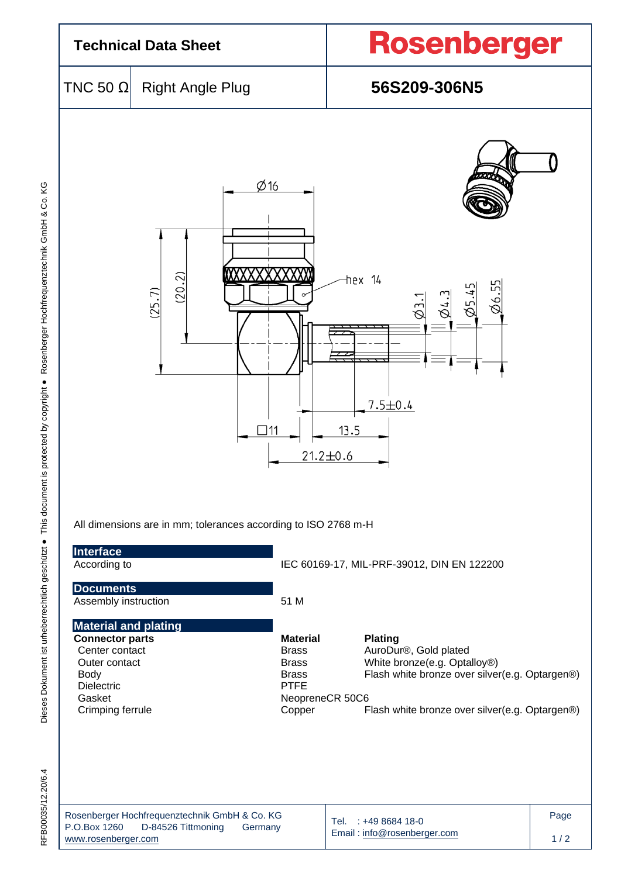